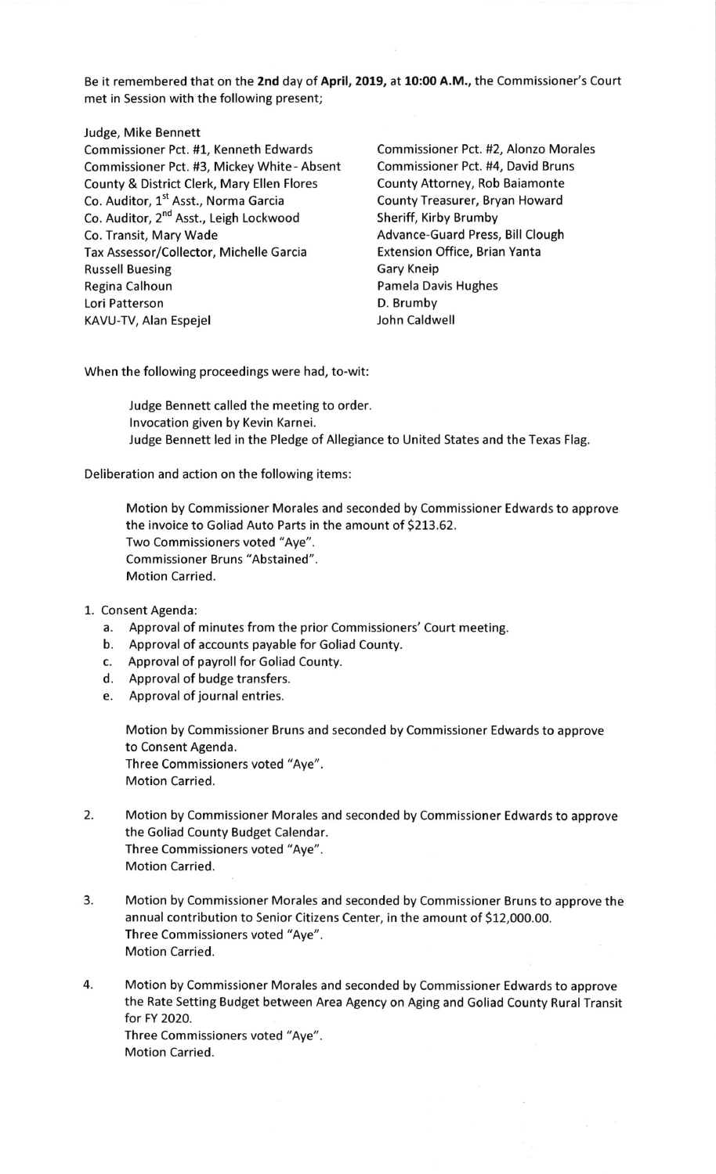Be it remembered that on the 2nd day of April, 2019, at 10:00 A.M., the Commissioner's Court met in Session with the following present;

## Judge, Mike Bennett

Commissioner Pct. #1, Kenneth Edwards Commissioner Pct. #2, Alonzo Morales Commissioner Pct. #3, Mickey White - Absent Commissioner Pct. #4, David Bruns County & District Clerk, Mary Ellen Flores County Attorney, Rob Baiamonte Co. Auditor, 1<sup>st</sup> Asst., Norma Garcia **County Treasurer, Bryan Howard** Co. Auditor, 2<sup>nd</sup> Asst., Leigh Lockwood Sheriff, Kirby Brumby Co. Transit, Mary Wade **Advance-Guard Press**, Bill Clough Tax Assessor/Collector, Michelle Garcia Extension Office, Brian Yanta Russell Buesing Gary Kneip Regina Calhoun **Pamela Davis Hughes** Lori Patterson **D. Brumby** KAVU-TV, Alan Espejel **Good Contract Contract Contract Contract** John Caldwell

When the following proceedings were had, to-wit:

Judge Bennett called the meeting to order. lnvocation given by Kevin Karnei. Judge Bennett led in the Pledge of Allegiance to United States and the Texas Flag.

Deliberation and action on the following items:

Motion by Commissioner Morales and seconded by Commissioner Edwards to approve the invoice to Goliad Auto Parts in the amount of 5213.62. Two Commissioners voted "Aye". Commissioner Bruns "Abstained". Motion Carried.

- 1. Consent Agenda:
	- a. Approval of minutes from the prior Commissioners'Court meeting.
	- b. Approval of accounts payable for Goliad County.
	- c. Approval of payroll for Goliad County.
	- d. Approval of budge transfers.
	- e. Approval of journal entries.

Motion by Commissioner Bruns and seconded by Commissioner Edwards to approve to Consent Agenda. Three Commissioners voted "Aye". Motion Carried.

- 2. Motion by Commissioner Morales and seconded by Commissioner Edwards to approve the Goliad County Budget Calendar. Three Commissioners voted "Aye". Motion Carried.
- 3. Motion by Commissioner Morales and seconded by Commissioner Bruns to approve the annual contribution to Senior Citizens Center, in the amount of \$12,000.00. Three Commissioners voted "Aye". Motion Carried.
- 4. Motion by Commissioner Morales and seconded by Commissioner Edwards to approve the Rate Setting Budget between Area Agency on Aging and Goliad County Rural Transit for FY 2O2O. Three Commissioners voted "Aye". Motion Carried.